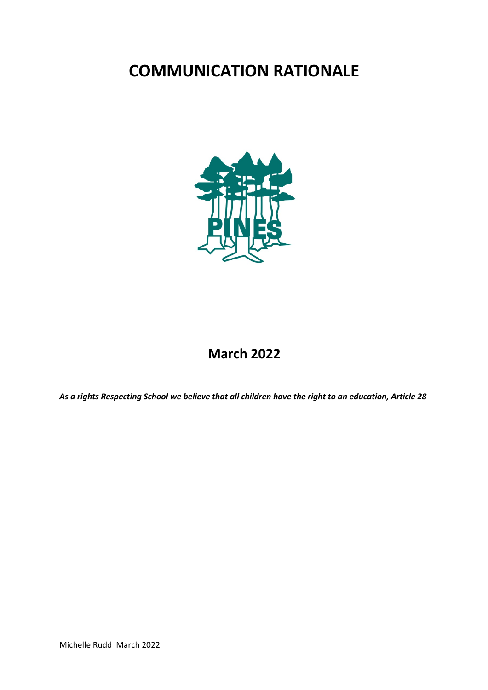# **COMMUNICATION RATIONALE**



## **March 2022**

*As a rights Respecting School we believe that all children have the right to an education, Article 28*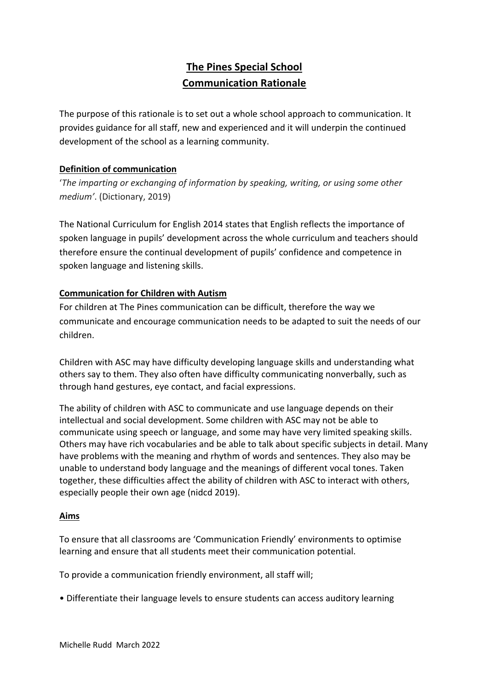### **The Pines Special School Communication Rationale**

The purpose of this rationale is to set out a whole school approach to communication. It provides guidance for all staff, new and experienced and it will underpin the continued development of the school as a learning community.

#### **Definition of communication**

'*The imparting or exchanging of information by speaking, writing, or using some other medium'*. (Dictionary, 2019)

The National Curriculum for English 2014 states that English reflects the importance of spoken language in pupils' development across the whole curriculum and teachers should therefore ensure the continual development of pupils' confidence and competence in spoken language and listening skills.

#### **Communication for Children with Autism**

For children at The Pines communication can be difficult, therefore the way we communicate and encourage communication needs to be adapted to suit the needs of our children.

Children with ASC may have difficulty developing language skills and understanding what others say to them. They also often have difficulty communicating nonverbally, such as through hand gestures, eye contact, and facial expressions.

The ability of children with ASC to communicate and use language depends on their intellectual and social development. Some children with ASC may not be able to communicate using speech or language, and some may have very limited speaking skills. Others may have rich vocabularies and be able to talk about specific subjects in detail. Many have problems with the meaning and rhythm of words and sentences. They also may be unable to understand body language and the meanings of different vocal tones. Taken together, these difficulties affect the ability of children with ASC to interact with others, especially people their own age (nidcd 2019).

#### **Aims**

To ensure that all classrooms are 'Communication Friendly' environments to optimise learning and ensure that all students meet their communication potential.

To provide a communication friendly environment, all staff will;

• Differentiate their language levels to ensure students can access auditory learning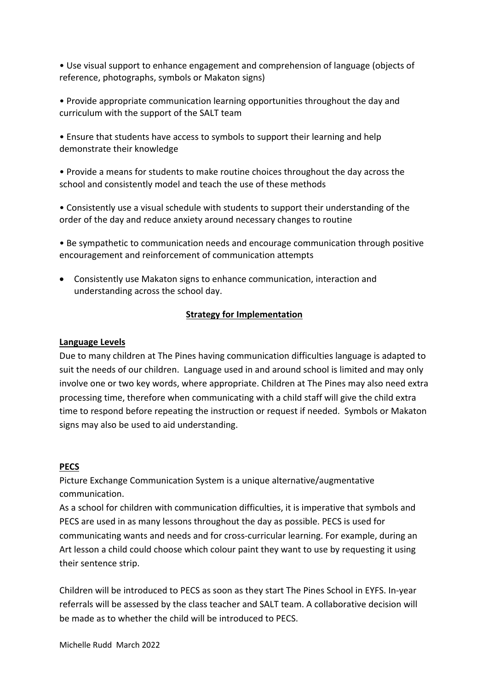• Use visual support to enhance engagement and comprehension of language (objects of reference, photographs, symbols or Makaton signs)

• Provide appropriate communication learning opportunities throughout the day and curriculum with the support of the SALT team

• Ensure that students have access to symbols to support their learning and help demonstrate their knowledge

• Provide a means for students to make routine choices throughout the day across the school and consistently model and teach the use of these methods

• Consistently use a visual schedule with students to support their understanding of the order of the day and reduce anxiety around necessary changes to routine

• Be sympathetic to communication needs and encourage communication through positive encouragement and reinforcement of communication attempts

• Consistently use Makaton signs to enhance communication, interaction and understanding across the school day.

#### **Strategy for Implementation**

#### **Language Levels**

Due to many children at The Pines having communication difficulties language is adapted to suit the needs of our children. Language used in and around school is limited and may only involve one or two key words, where appropriate. Children at The Pines may also need extra processing time, therefore when communicating with a child staff will give the child extra time to respond before repeating the instruction or request if needed. Symbols or Makaton signs may also be used to aid understanding.

#### **PECS**

Picture Exchange Communication System is a unique alternative/augmentative communication.

As a school for children with communication difficulties, it is imperative that symbols and PECS are used in as many lessons throughout the day as possible. PECS is used for communicating wants and needs and for cross-curricular learning. For example, during an Art lesson a child could choose which colour paint they want to use by requesting it using their sentence strip.

Children will be introduced to PECS as soon as they start The Pines School in EYFS. In-year referrals will be assessed by the class teacher and SALT team. A collaborative decision will be made as to whether the child will be introduced to PECS.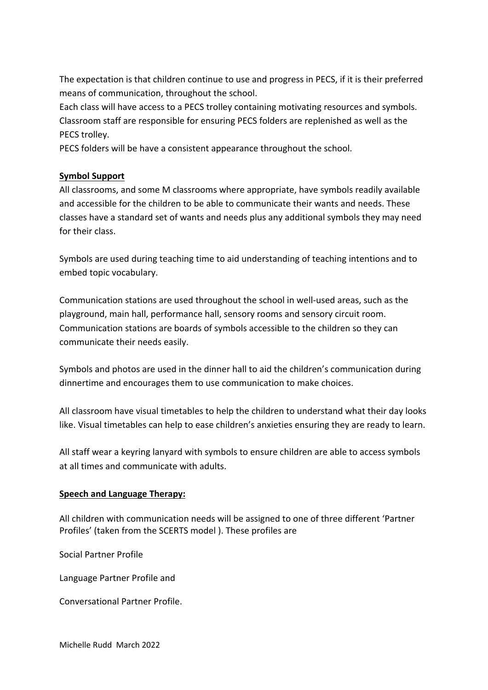The expectation is that children continue to use and progress in PECS, if it is their preferred means of communication, throughout the school.

Each class will have access to a PECS trolley containing motivating resources and symbols. Classroom staff are responsible for ensuring PECS folders are replenished as well as the PECS trolley.

PECS folders will be have a consistent appearance throughout the school.

#### **Symbol Support**

All classrooms, and some M classrooms where appropriate, have symbols readily available and accessible for the children to be able to communicate their wants and needs. These classes have a standard set of wants and needs plus any additional symbols they may need for their class.

Symbols are used during teaching time to aid understanding of teaching intentions and to embed topic vocabulary.

Communication stations are used throughout the school in well-used areas, such as the playground, main hall, performance hall, sensory rooms and sensory circuit room. Communication stations are boards of symbols accessible to the children so they can communicate their needs easily.

Symbols and photos are used in the dinner hall to aid the children's communication during dinnertime and encourages them to use communication to make choices.

All classroom have visual timetables to help the children to understand what their day looks like. Visual timetables can help to ease children's anxieties ensuring they are ready to learn.

All staff wear a keyring lanyard with symbols to ensure children are able to access symbols at all times and communicate with adults.

#### **Speech and Language Therapy:**

All children with communication needs will be assigned to one of three different 'Partner Profiles' (taken from the SCERTS model ). These profiles are

Social Partner Profile

Language Partner Profile and

Conversational Partner Profile.